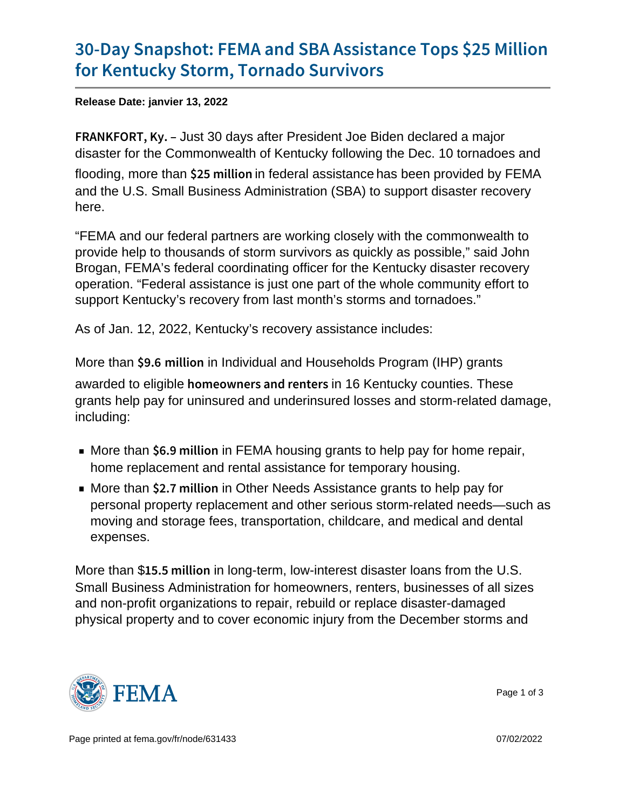## [30-Day Snapshot: FEMA and SBA As](https://www.fema.gov/press-release/20220113/30-day-snapshot-fema-and-sba-assistance-tops-25-million-kentucky-storm)sistan [for Kentucky Storm, Tor](https://www.fema.gov/press-release/20220113/30-day-snapshot-fema-and-sba-assistance-tops-25-million-kentucky-storm)nado Survivors

Release Date: janvier 13, 2022

FRANKFOR Just 80 days after President Joe Biden declared a major disaster for the Commonwealth of Kentucky following the Dec. 10 tornadoes and flooding, more than  $$25 \text{ m}$  i ln federal assistance has been provided by FEMA and the U.S. Small Business Administration (SBA) to support disaster recovery here.

"FEMA and our federal partners are working closely with the commonwealth to provide help to thousands of storm survivors as quickly as possible," said John Brogan, FEMA's federal coordinating officer for the Kentucky disaster recovery operation. "Federal assistance is just one part of the whole community effort to support Kentucky's recovery from last month's storms and tornadoes."

As of Jan. 12, 2022, Kentucky's recovery assistance includes:

More than  $\ $9.6$  illion in Individual and Households Program (IHP) grants awarded to eligible homeowners and intelect the unties. These grants help pay for uninsured and underinsured losses and storm-related damage, including:

- More than  $$6.9 \text{ m}$  iih FEMA housing grants to help pay for home repair, home replacement and rental assistance for temporary housing.
- $\blacksquare$  More than  $\$$  2.7 m iih Other Needs Assistance grants to help pay for personal property replacement and other serious storm-related needs—such as moving and storage fees, transportation, childcare, and medical and dental expenses.

More than  $$15.5 \text{ m}$  iih liong-term, low-interest disaster loans from the U.S. Small Business Administration for homeowners, renters, businesses of all sizes and non-profit organizations to repair, rebuild or replace disaster-damaged physical property and to cover economic injury from the December storms and



Page 1 of 3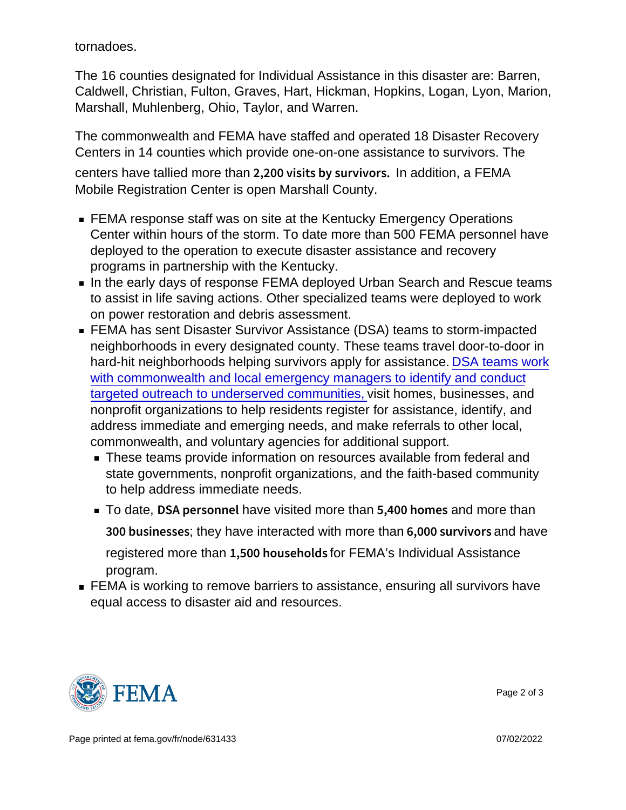tornadoes.

The 16 counties designated for Individual Assistance in this disaster are: Barren, Caldwell, Christian, Fulton, Graves, Hart, Hickman, Hopkins, Logan, Lyon, Marion, Marshall, Muhlenberg, Ohio, Taylor, and Warren.

The commonwealth and FEMA have staffed and operated 18 Disaster Recovery Centers in 14 counties which provide one-on-one assistance to survivors. The centers have tallied more than  $2,200$  visits by  $\text{Is}$  addition, or SEMA Mobile Registration Center is open Marshall County.

- FEMA response staff was on site at the Kentucky Emergency Operations Center within hours of the storm. To date more than 500 FEMA personnel have deployed to the operation to execute disaster assistance and recovery programs in partnership with the Kentucky.
- In the early days of response FEMA deployed Urban Search and Rescue teams to assist in life saving actions. Other specialized teams were deployed to work on power restoration and debris assessment.
- FEMA has sent Disaster Survivor Assistance (DSA) teams to storm-impacted neighborhoods in every designated county. These teams travel door-to-door in hard-hit neighborhoods helping survivors apply for assistance. [DSA teams work](https://youtu.be/OuqoFF1uyWE) [with commonwealth and local emergency managers to identify and conduct](https://youtu.be/OuqoFF1uyWE) [targeted outreach to underserved communities,](https://youtu.be/OuqoFF1uyWE) visit homes, businesses, and nonprofit organizations to help residents register for assistance, identify, and address immediate and emerging needs, and make referrals to other local, commonwealth, and voluntary agencies for additional support.
	- **These teams provide information on resources available from federal and** state governments, nonprofit organizations, and the faith-based community to help address immediate needs.
	- To date,  $DSA$  pershound more than  $5,400$  homore than  $300$  busintesy shave interacted with more than  $6,000$  surand whaves registered more than  $1,500$  housfort Fundation individual Assistance program.
- **FEMA** is working to remove barriers to assistance, ensuring all survivors have equal access to disaster aid and resources.



Page 2 of 3